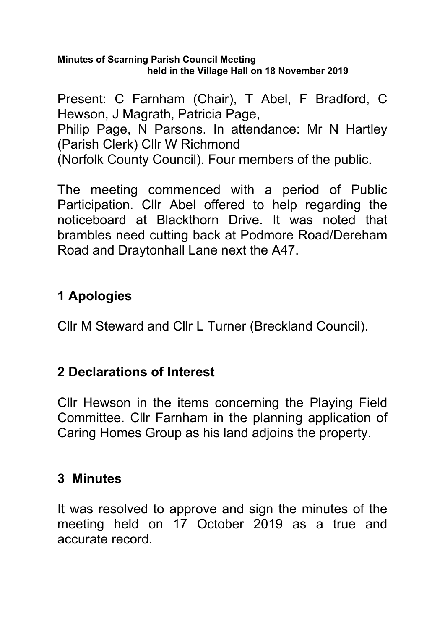#### **Minutes of Scarning Parish Council Meeting held in the Village Hall on 18 November 2019**

Present: C Farnham (Chair), T Abel, F Bradford, C Hewson, J Magrath, Patricia Page, Philip Page, N Parsons. In attendance: Mr N Hartley (Parish Clerk) Cllr W Richmond (Norfolk County Council). Four members of the public.

The meeting commenced with a period of Public Participation. Cllr Abel offered to help regarding the noticeboard at Blackthorn Drive. It was noted that brambles need cutting back at Podmore Road/Dereham Road and Draytonhall Lane next the A47.

# **1 Apologies**

Cllr M Steward and Cllr L Turner (Breckland Council).

## **2 Declarations of Interest**

Cllr Hewson in the items concerning the Playing Field Committee. Cllr Farnham in the planning application of Caring Homes Group as his land adjoins the property.

## **3 Minutes**

It was resolved to approve and sign the minutes of the meeting held on 17 October 2019 as a true and accurate record.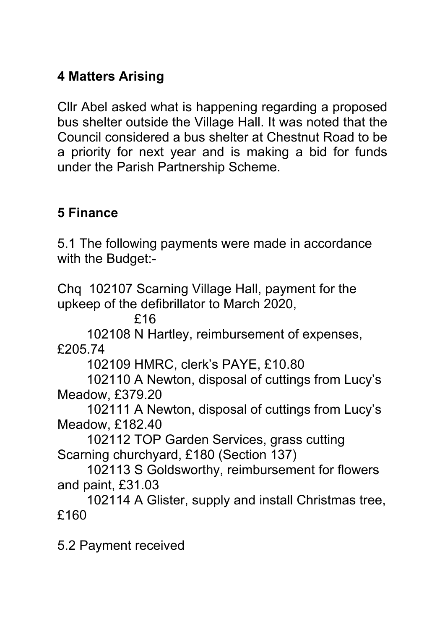# **4 Matters Arising**

Cllr Abel asked what is happening regarding a proposed bus shelter outside the Village Hall. It was noted that the Council considered a bus shelter at Chestnut Road to be a priority for next year and is making a bid for funds under the Parish Partnership Scheme.

## **5 Finance**

5.1 The following payments were made in accordance with the Budget:-

Chq 102107 Scarning Village Hall, payment for the upkeep of the defibrillator to March 2020,

£16

 102108 N Hartley, reimbursement of expenses, £205.74

102109 HMRC, clerk's PAYE, £10.80

 102110 A Newton, disposal of cuttings from Lucy's Meadow, £379.20

 102111 A Newton, disposal of cuttings from Lucy's Meadow, £182.40

 102112 TOP Garden Services, grass cutting Scarning churchyard, £180 (Section 137)

 102113 S Goldsworthy, reimbursement for flowers and paint, £31.03

 102114 A Glister, supply and install Christmas tree, £160

5.2 Payment received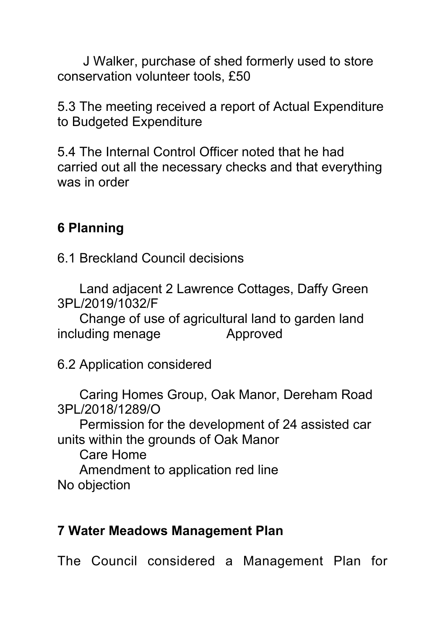J Walker, purchase of shed formerly used to store conservation volunteer tools, £50

5.3 The meeting received a report of Actual Expenditure to Budgeted Expenditure

5.4 The Internal Control Officer noted that he had carried out all the necessary checks and that everything was in order

## **6 Planning**

6.1 Breckland Council decisions

 Land adjacent 2 Lawrence Cottages, Daffy Green 3PL/2019/1032/F

 Change of use of agricultural land to garden land including menage Approved

6.2 Application considered

 Caring Homes Group, Oak Manor, Dereham Road 3PL/2018/1289/O

 Permission for the development of 24 assisted car units within the grounds of Oak Manor

Care Home

Amendment to application red line

No objection

#### **7 Water Meadows Management Plan**

The Council considered a Management Plan for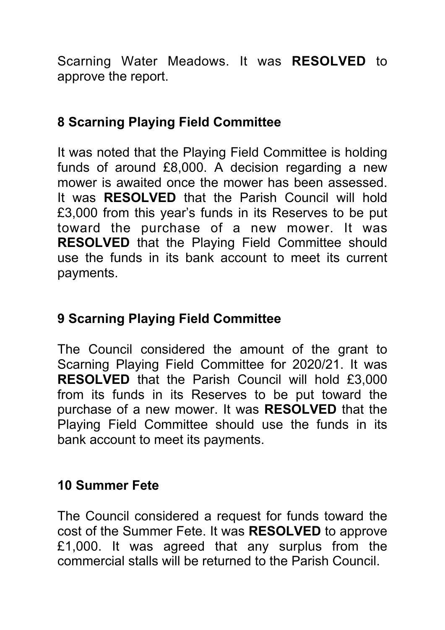Scarning Water Meadows. It was **RESOLVED** to approve the report.

## **8 Scarning Playing Field Committee**

It was noted that the Playing Field Committee is holding funds of around £8,000. A decision regarding a new mower is awaited once the mower has been assessed. It was **RESOLVED** that the Parish Council will hold £3,000 from this year's funds in its Reserves to be put toward the purchase of a new mower. It was **RESOLVED** that the Playing Field Committee should use the funds in its bank account to meet its current payments.

## **9 Scarning Playing Field Committee**

The Council considered the amount of the grant to Scarning Playing Field Committee for 2020/21. It was **RESOLVED** that the Parish Council will hold £3,000 from its funds in its Reserves to be put toward the purchase of a new mower. It was **RESOLVED** that the Playing Field Committee should use the funds in its bank account to meet its payments.

#### **10 Summer Fete**

The Council considered a request for funds toward the cost of the Summer Fete. It was **RESOLVED** to approve £1,000. It was agreed that any surplus from the commercial stalls will be returned to the Parish Council.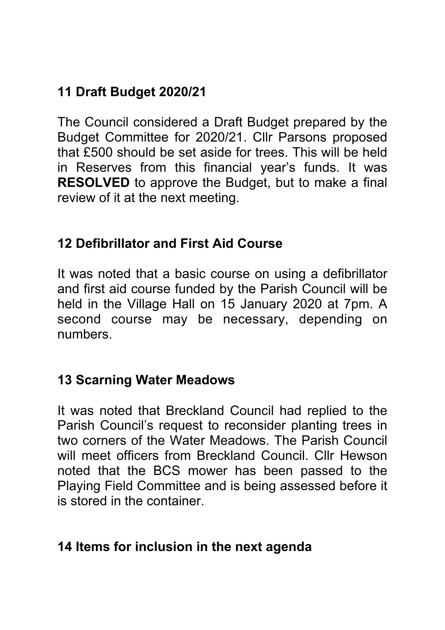# **11 Draft Budget 2020/21**

The Council considered a Draft Budget prepared by the Budget Committee for 2020/21. Cllr Parsons proposed that £500 should be set aside for trees. This will be held in Reserves from this financial year's funds. It was **RESOLVED** to approve the Budget, but to make a final review of it at the next meeting.

#### **12 Defibrillator and First Aid Course**

It was noted that a basic course on using a defibrillator and first aid course funded by the Parish Council will be held in the Village Hall on 15 January 2020 at 7pm. A second course may be necessary, depending on numbers.

#### **13 Scarning Water Meadows**

It was noted that Breckland Council had replied to the Parish Council's request to reconsider planting trees in two corners of the Water Meadows. The Parish Council will meet officers from Breckland Council. Cllr Hewson noted that the BCS mower has been passed to the Playing Field Committee and is being assessed before it is stored in the container.

## **14 Items for inclusion in the next agenda**